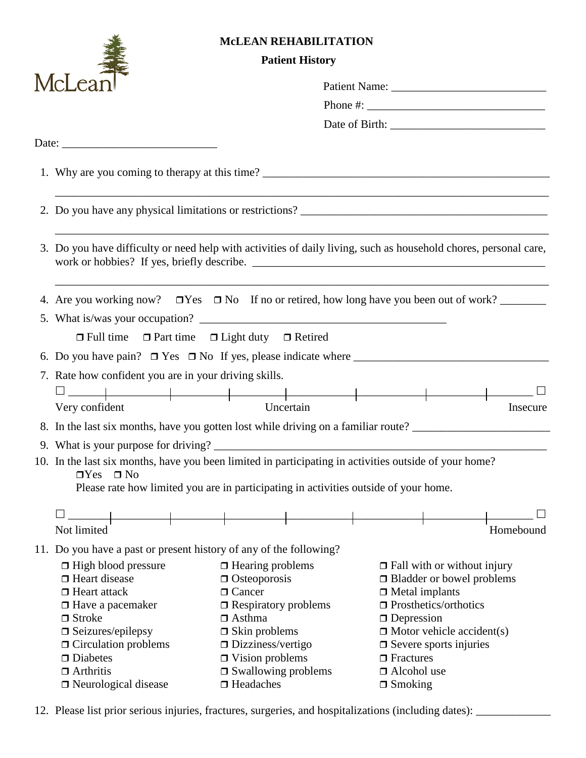|                                                                                                                  | <b>McLEAN REHABILITATION</b><br><b>Patient History</b>                                                 |                                                                                    |  |  |  |
|------------------------------------------------------------------------------------------------------------------|--------------------------------------------------------------------------------------------------------|------------------------------------------------------------------------------------|--|--|--|
| McLea                                                                                                            |                                                                                                        |                                                                                    |  |  |  |
|                                                                                                                  |                                                                                                        |                                                                                    |  |  |  |
|                                                                                                                  |                                                                                                        |                                                                                    |  |  |  |
|                                                                                                                  |                                                                                                        |                                                                                    |  |  |  |
|                                                                                                                  |                                                                                                        |                                                                                    |  |  |  |
|                                                                                                                  |                                                                                                        | 1. Why are you coming to therapy at this time?                                     |  |  |  |
|                                                                                                                  |                                                                                                        |                                                                                    |  |  |  |
| 3. Do you have difficulty or need help with activities of daily living, such as household chores, personal care, |                                                                                                        |                                                                                    |  |  |  |
| 4. Are you working now? $\Box$ Yes $\Box$ No If no or retired, how long have you been out of work?               |                                                                                                        |                                                                                    |  |  |  |
|                                                                                                                  |                                                                                                        |                                                                                    |  |  |  |
|                                                                                                                  | $\Box$ Full time $\Box$ Part time $\Box$ Light duty $\Box$ Retired                                     |                                                                                    |  |  |  |
|                                                                                                                  |                                                                                                        |                                                                                    |  |  |  |
| 7. Rate how confident you are in your driving skills.                                                            |                                                                                                        |                                                                                    |  |  |  |
|                                                                                                                  |                                                                                                        |                                                                                    |  |  |  |
| Very confident                                                                                                   | Uncertain                                                                                              | Insecure                                                                           |  |  |  |
|                                                                                                                  |                                                                                                        | 8. In the last six months, have you gotten lost while driving on a familiar route? |  |  |  |
|                                                                                                                  |                                                                                                        |                                                                                    |  |  |  |
|                                                                                                                  | 10. In the last six months, have you been limited in participating in activities outside of your home? |                                                                                    |  |  |  |
| $\Box$ Yes $\Box$ No                                                                                             |                                                                                                        |                                                                                    |  |  |  |
|                                                                                                                  | Please rate how limited you are in participating in activities outside of your home.                   |                                                                                    |  |  |  |
|                                                                                                                  |                                                                                                        |                                                                                    |  |  |  |
| Not limited                                                                                                      |                                                                                                        | Homebound                                                                          |  |  |  |
| 11. Do you have a past or present history of any of the following?                                               |                                                                                                        |                                                                                    |  |  |  |
| $\Box$ High blood pressure                                                                                       | $\Box$ Hearing problems                                                                                | $\Box$ Fall with or without injury                                                 |  |  |  |
| $\Box$ Heart disease                                                                                             | $\Box$ Osteoporosis                                                                                    | $\Box$ Bladder or bowel problems                                                   |  |  |  |
| $\Box$ Heart attack                                                                                              | $\Box$ Cancer                                                                                          | $\Box$ Metal implants                                                              |  |  |  |
| $\Box$ Have a pacemaker                                                                                          | $\Box$ Respiratory problems                                                                            | $\Box$ Prosthetics/orthotics                                                       |  |  |  |
| $\Box$ Stroke                                                                                                    | $\Box$ Asthma                                                                                          | $\Box$ Depression                                                                  |  |  |  |
| $\Box$ Seizures/epilepsy                                                                                         | $\Box$ Skin problems                                                                                   | $\Box$ Motor vehicle accident(s)                                                   |  |  |  |
| $\Box$ Circulation problems                                                                                      | $\Box$ Dizziness/vertigo                                                                               | $\Box$ Severe sports injuries                                                      |  |  |  |
| $\square$ Diabetes<br>$\Box$ Arthritis                                                                           | $\Box$ Vision problems                                                                                 | $\Box$ Fractures<br>$\Box$ Alcohol use                                             |  |  |  |
| $\Box$ Neurological disease                                                                                      | $\Box$ Swallowing problems<br>$\Box$ Headaches                                                         | $\Box$ Smoking                                                                     |  |  |  |
|                                                                                                                  |                                                                                                        |                                                                                    |  |  |  |

12. Please list prior serious injuries, fractures, surgeries, and hospitalizations (including dates): \_\_\_\_\_\_\_\_\_\_\_\_\_\_